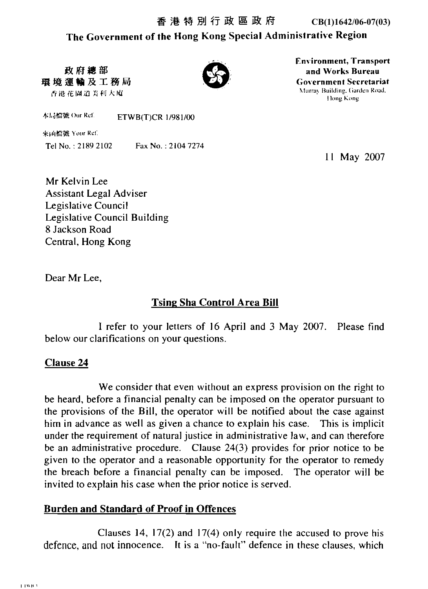#### 香 港 特 別 行 政 區 政 府 **The Government of the Hong Kong Special Administrative Region CB(1)1642/06-07(03)**

政府總部 環境運輸及工務局 否港花園道美利大廈

**本局檔號 Our Ref. | FTWB(T)CR 1/981/00** 

kb(lflr# **Your Kc!:** 

Tel No. : 2189 2102 **Fax** No. : 2104 7274

**Environment, Transport and Works Bureau Government Secretariat Murray Building. Garden Road. I long Kcme** 

11 May 2007

Mr Kelvin Lee Assistant Legal Adviser Legislative Council Legislative Council Building 8 Jackson Road Central, Hong Kong

Dear Mr Lee,

# **Tsing Sha Control Area Bill**

I refer to your letters of 16 April and 3 May 2007. Please find below our clarifications on your questions.

## **Clause 24**

We consider that even without an express provision on the right to be heard, before a financial penalty can be imposed on the operator pursuant to the provisions of the Bill, the operator will be notified about the case against him in advance as well as given a chance to explain his case. This is implicit under the requirement of natural justice in administrative law, and can therefore be an administrative procedure. Clause 24(3) provides for prior notice to be given to the operator and a reasonable opportunity for the operator to remedy the breach before a financial penalty can be imposed. The operator will be invited to explain his case when the prior notice is served.

## **Burden and Standard of Proof in Offences**

Clauses 14, 17(2) and 17(4) only require the accused to prove his defence, and not innocence. It is a "no-fault" defence in these clauses, which